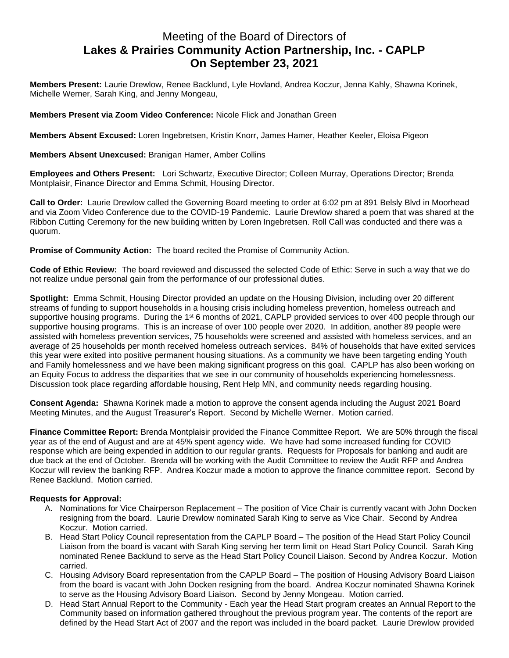## Meeting of the Board of Directors of **Lakes & Prairies Community Action Partnership, Inc. - CAPLP On September 23, 2021**

**Members Present:** Laurie Drewlow, Renee Backlund, Lyle Hovland, Andrea Koczur, Jenna Kahly, Shawna Korinek, Michelle Werner, Sarah King, and Jenny Mongeau,

**Members Present via Zoom Video Conference:** Nicole Flick and Jonathan Green

**Members Absent Excused:** Loren Ingebretsen, Kristin Knorr, James Hamer, Heather Keeler, Eloisa Pigeon

**Members Absent Unexcused:** Branigan Hamer, Amber Collins

**Employees and Others Present:** Lori Schwartz, Executive Director; Colleen Murray, Operations Director; Brenda Montplaisir, Finance Director and Emma Schmit, Housing Director.

**Call to Order:** Laurie Drewlow called the Governing Board meeting to order at 6:02 pm at 891 Belsly Blvd in Moorhead and via Zoom Video Conference due to the COVID-19 Pandemic. Laurie Drewlow shared a poem that was shared at the Ribbon Cutting Ceremony for the new building written by Loren Ingebretsen. Roll Call was conducted and there was a quorum.

**Promise of Community Action:** The board recited the Promise of Community Action.

**Code of Ethic Review:** The board reviewed and discussed the selected Code of Ethic: Serve in such a way that we do not realize undue personal gain from the performance of our professional duties.

**Spotlight:** Emma Schmit, Housing Director provided an update on the Housing Division, including over 20 different streams of funding to support households in a housing crisis including homeless prevention, homeless outreach and supportive housing programs. During the 1<sup>st</sup> 6 months of 2021, CAPLP provided services to over 400 people through our supportive housing programs. This is an increase of over 100 people over 2020. In addition, another 89 people were assisted with homeless prevention services, 75 households were screened and assisted with homeless services, and an average of 25 households per month received homeless outreach services. 84% of households that have exited services this year were exited into positive permanent housing situations. As a community we have been targeting ending Youth and Family homelessness and we have been making significant progress on this goal. CAPLP has also been working on an Equity Focus to address the disparities that we see in our community of households experiencing homelessness. Discussion took place regarding affordable housing, Rent Help MN, and community needs regarding housing.

**Consent Agenda:** Shawna Korinek made a motion to approve the consent agenda including the August 2021 Board Meeting Minutes, and the August Treasurer's Report. Second by Michelle Werner. Motion carried.

**Finance Committee Report:** Brenda Montplaisir provided the Finance Committee Report. We are 50% through the fiscal year as of the end of August and are at 45% spent agency wide. We have had some increased funding for COVID response which are being expended in addition to our regular grants. Requests for Proposals for banking and audit are due back at the end of October. Brenda will be working with the Audit Committee to review the Audit RFP and Andrea Koczur will review the banking RFP. Andrea Koczur made a motion to approve the finance committee report. Second by Renee Backlund. Motion carried.

## **Requests for Approval:**

- A. Nominations for Vice Chairperson Replacement The position of Vice Chair is currently vacant with John Docken resigning from the board. Laurie Drewlow nominated Sarah King to serve as Vice Chair. Second by Andrea Koczur. Motion carried.
- B. Head Start Policy Council representation from the CAPLP Board The position of the Head Start Policy Council Liaison from the board is vacant with Sarah King serving her term limit on Head Start Policy Council. Sarah King nominated Renee Backlund to serve as the Head Start Policy Council Liaison. Second by Andrea Koczur. Motion carried.
- C. Housing Advisory Board representation from the CAPLP Board The position of Housing Advisory Board Liaison from the board is vacant with John Docken resigning from the board. Andrea Koczur nominated Shawna Korinek to serve as the Housing Advisory Board Liaison. Second by Jenny Mongeau. Motion carried.
- D. Head Start Annual Report to the Community Each year the Head Start program creates an Annual Report to the Community based on information gathered throughout the previous program year. The contents of the report are defined by the Head Start Act of 2007 and the report was included in the board packet. Laurie Drewlow provided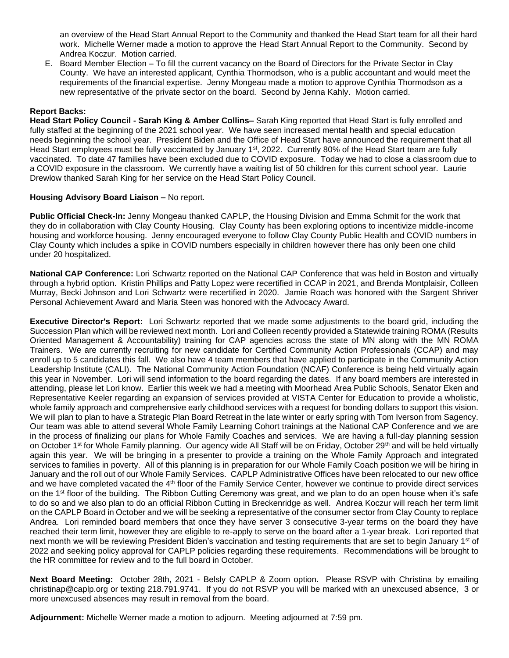an overview of the Head Start Annual Report to the Community and thanked the Head Start team for all their hard work. Michelle Werner made a motion to approve the Head Start Annual Report to the Community. Second by Andrea Koczur. Motion carried.

E. Board Member Election – To fill the current vacancy on the Board of Directors for the Private Sector in Clay County. We have an interested applicant, Cynthia Thormodson, who is a public accountant and would meet the requirements of the financial expertise. Jenny Mongeau made a motion to approve Cynthia Thormodson as a new representative of the private sector on the board. Second by Jenna Kahly. Motion carried.

## **Report Backs:**

**Head Start Policy Council - Sarah King & Amber Collins–** Sarah King reported that Head Start is fully enrolled and fully staffed at the beginning of the 2021 school year. We have seen increased mental health and special education needs beginning the school year. President Biden and the Office of Head Start have announced the requirement that all Head Start employees must be fully vaccinated by January 1<sup>st</sup>, 2022. Currently 80% of the Head Start team are fully vaccinated. To date 47 families have been excluded due to COVID exposure. Today we had to close a classroom due to a COVID exposure in the classroom. We currently have a waiting list of 50 children for this current school year. Laurie Drewlow thanked Sarah King for her service on the Head Start Policy Council.

## **Housing Advisory Board Liaison –** No report.

**Public Official Check-In:** Jenny Mongeau thanked CAPLP, the Housing Division and Emma Schmit for the work that they do in collaboration with Clay County Housing. Clay County has been exploring options to incentivize middle-income housing and workforce housing. Jenny encouraged everyone to follow Clay County Public Health and COVID numbers in Clay County which includes a spike in COVID numbers especially in children however there has only been one child under 20 hospitalized.

**National CAP Conference:** Lori Schwartz reported on the National CAP Conference that was held in Boston and virtually through a hybrid option. Kristin Phillips and Patty Lopez were recertified in CCAP in 2021, and Brenda Montplaisir, Colleen Murray, Becki Johnson and Lori Schwartz were recertified in 2020. Jamie Roach was honored with the Sargent Shriver Personal Achievement Award and Maria Steen was honored with the Advocacy Award.

**Executive Director's Report:** Lori Schwartz reported that we made some adjustments to the board grid, including the Succession Plan which will be reviewed next month. Lori and Colleen recently provided a Statewide training ROMA (Results Oriented Management & Accountability) training for CAP agencies across the state of MN along with the MN ROMA Trainers. We are currently recruiting for new candidate for Certified Community Action Professionals (CCAP) and may enroll up to 5 candidates this fall. We also have 4 team members that have applied to participate in the Community Action Leadership Institute (CALI). The National Community Action Foundation (NCAF) Conference is being held virtually again this year in November. Lori will send information to the board regarding the dates. If any board members are interested in attending, please let Lori know. Earlier this week we had a meeting with Moorhead Area Public Schools, Senator Eken and Representative Keeler regarding an expansion of services provided at VISTA Center for Education to provide a wholistic, whole family approach and comprehensive early childhood services with a request for bonding dollars to support this vision. We will plan to plan to have a Strategic Plan Board Retreat in the late winter or early spring with Tom Iverson from Sagency. Our team was able to attend several Whole Family Learning Cohort trainings at the National CAP Conference and we are in the process of finalizing our plans for Whole Family Coaches and services. We are having a full-day planning session on October 1<sup>st</sup> for Whole Family planning. Our agency wide All Staff will be on Friday, October 29<sup>th</sup> and will be held virtually again this year. We will be bringing in a presenter to provide a training on the Whole Family Approach and integrated services to families in poverty. All of this planning is in preparation for our Whole Family Coach position we will be hiring in January and the roll out of our Whole Family Services. CAPLP Administrative Offices have been relocated to our new office and we have completed vacated the 4<sup>th</sup> floor of the Family Service Center, however we continue to provide direct services on the 1<sup>st</sup> floor of the building. The Ribbon Cutting Ceremony was great, and we plan to do an open house when it's safe to do so and we also plan to do an official Ribbon Cutting in Breckenridge as well. Andrea Koczur will reach her term limit on the CAPLP Board in October and we will be seeking a representative of the consumer sector from Clay County to replace Andrea. Lori reminded board members that once they have server 3 consecutive 3-year terms on the board they have reached their term limit, however they are eligible to re-apply to serve on the board after a 1-year break. Lori reported that next month we will be reviewing President Biden's vaccination and testing requirements that are set to begin January 1<sup>st</sup> of 2022 and seeking policy approval for CAPLP policies regarding these requirements. Recommendations will be brought to the HR committee for review and to the full board in October.

**Next Board Meeting:** October 28th, 2021 - Belsly CAPLP & Zoom option. Please RSVP with Christina by emailing christinap@caplp.org or texting 218.791.9741. If you do not RSVP you will be marked with an unexcused absence, 3 or more unexcused absences may result in removal from the board.

**Adjournment:** Michelle Werner made a motion to adjourn. Meeting adjourned at 7:59 pm.